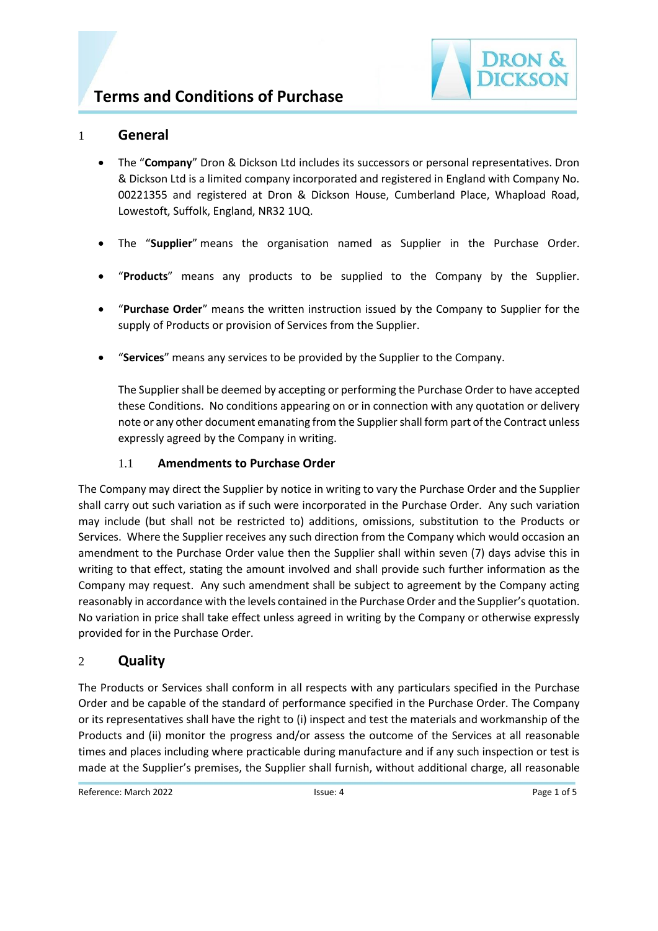

### 1 **General**

- The "**Company**" Dron & Dickson Ltd includes its successors or personal representatives. Dron & Dickson Ltd is a limited company incorporated and registered in England with Company No. 00221355 and registered at Dron & Dickson House, Cumberland Place, Whapload Road, Lowestoft, Suffolk, England, NR32 1UQ.
- The "**Supplier**" means the organisation named as Supplier in the Purchase Order.
- "**Products**" means any products to be supplied to the Company by the Supplier.
- "**Purchase Order**" means the written instruction issued by the Company to Supplier for the supply of Products or provision of Services from the Supplier.
- "**Services**" means any services to be provided by the Supplier to the Company.

The Supplier shall be deemed by accepting or performing the Purchase Order to have accepted these Conditions. No conditions appearing on or in connection with any quotation or delivery note or any other document emanating from the Supplier shall form part of the Contract unless expressly agreed by the Company in writing.

#### 1.1 **Amendments to Purchase Order**

The Company may direct the Supplier by notice in writing to vary the Purchase Order and the Supplier shall carry out such variation as if such were incorporated in the Purchase Order. Any such variation may include (but shall not be restricted to) additions, omissions, substitution to the Products or Services. Where the Supplier receives any such direction from the Company which would occasion an amendment to the Purchase Order value then the Supplier shall within seven (7) days advise this in writing to that effect, stating the amount involved and shall provide such further information as the Company may request. Any such amendment shall be subject to agreement by the Company acting reasonably in accordance with the levels contained in the Purchase Order and the Supplier's quotation. No variation in price shall take effect unless agreed in writing by the Company or otherwise expressly provided for in the Purchase Order.

#### 2 **Quality**

The Products or Services shall conform in all respects with any particulars specified in the Purchase Order and be capable of the standard of performance specified in the Purchase Order. The Company or its representatives shall have the right to (i) inspect and test the materials and workmanship of the Products and (ii) monitor the progress and/or assess the outcome of the Services at all reasonable times and places including where practicable during manufacture and if any such inspection or test is made at the Supplier's premises, the Supplier shall furnish, without additional charge, all reasonable

Reference: March 2022 **ISSUE: 4** ISSUE: 4 Page 1 of 5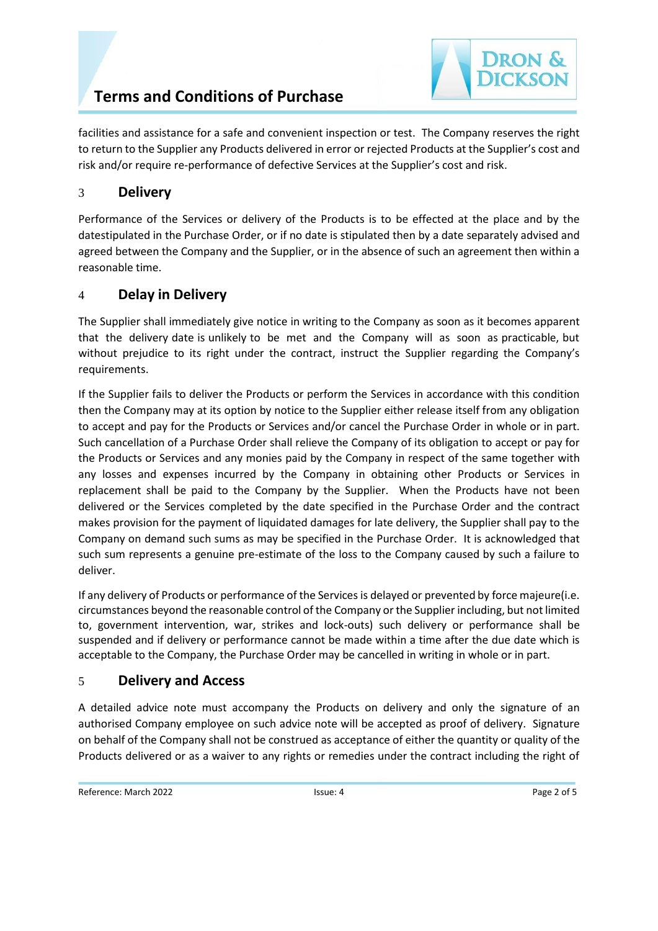# **Terms and Conditions of Purchase**

# 3 **Delivery**

Performance of the Services or delivery of the Products is to be effected at the place and by the datestipulated in the Purchase Order, or if no date is stipulated then by a date separately advised and agreed between the Company and the Supplier, or in the absence of such an agreement then within a reasonable time.

# 4 **Delay in Delivery**

The Supplier shall immediately give notice in writing to the Company as soon as it becomes apparent that the delivery date is unlikely to be met and the Company will as soon as practicable, but without prejudice to its right under the contract, instruct the Supplier regarding the Company's requirements.

If the Supplier fails to deliver the Products or perform the Services in accordance with this condition then the Company may at its option by notice to the Supplier either release itself from any obligation to accept and pay for the Products or Services and/or cancel the Purchase Order in whole or in part. Such cancellation of a Purchase Order shall relieve the Company of its obligation to accept or pay for the Products or Services and any monies paid by the Company in respect of the same together with any losses and expenses incurred by the Company in obtaining other Products or Services in replacement shall be paid to the Company by the Supplier. When the Products have not been delivered or the Services completed by the date specified in the Purchase Order and the contract makes provision for the payment of liquidated damages for late delivery, the Supplier shall pay to the Company on demand such sums as may be specified in the Purchase Order. It is acknowledged that such sum represents a genuine pre-estimate of the loss to the Company caused by such a failure to deliver.

If any delivery of Products or performance of the Services is delayed or prevented by force majeure(i.e. circumstances beyond the reasonable control of the Company or the Supplier including, but not limited to, government intervention, war, strikes and lock-outs) such delivery or performance shall be suspended and if delivery or performance cannot be made within a time after the due date which is acceptable to the Company, the Purchase Order may be cancelled in writing in whole or in part.

# 5 **Delivery and Access**

A detailed advice note must accompany the Products on delivery and only the signature of an authorised Company employee on such advice note will be accepted as proof of delivery. Signature on behalf of the Company shall not be construed as acceptance of either the quantity or quality of the Products delivered or as a waiver to any rights or remedies under the contract including the right of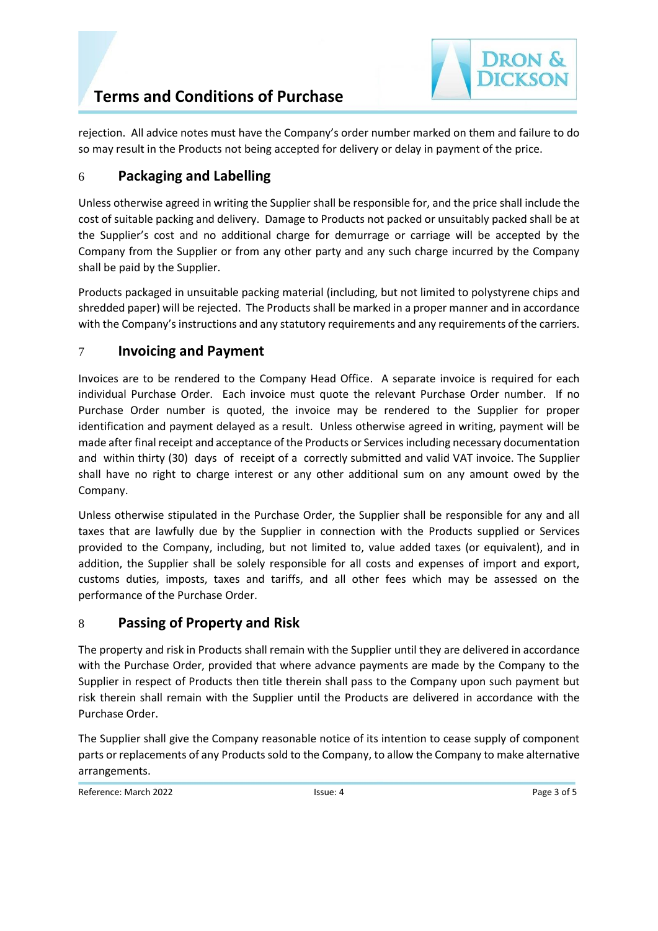rejection. All advice notes must have the Company's order number marked on them and failure to do so may result in the Products not being accepted for delivery or delay in payment of the price.

# 6 **Packaging and Labelling**

Unless otherwise agreed in writing the Supplier shall be responsible for, and the price shall include the cost of suitable packing and delivery. Damage to Products not packed or unsuitably packed shall be at the Supplier's cost and no additional charge for demurrage or carriage will be accepted by the Company from the Supplier or from any other party and any such charge incurred by the Company shall be paid by the Supplier.

Products packaged in unsuitable packing material (including, but not limited to polystyrene chips and shredded paper) will be rejected. The Products shall be marked in a proper manner and in accordance with the Company's instructions and any statutory requirements and any requirements of the carriers.

# 7 **Invoicing and Payment**

Invoices are to be rendered to the Company Head Office. A separate invoice is required for each individual Purchase Order. Each invoice must quote the relevant Purchase Order number. If no Purchase Order number is quoted, the invoice may be rendered to the Supplier for proper identification and payment delayed as a result. Unless otherwise agreed in writing, payment will be made after final receipt and acceptance of the Products or Services including necessary documentation and within thirty (30) days of receipt of a correctly submitted and valid VAT invoice. The Supplier shall have no right to charge interest or any other additional sum on any amount owed by the Company.

Unless otherwise stipulated in the Purchase Order, the Supplier shall be responsible for any and all taxes that are lawfully due by the Supplier in connection with the Products supplied or Services provided to the Company, including, but not limited to, value added taxes (or equivalent), and in addition, the Supplier shall be solely responsible for all costs and expenses of import and export, customs duties, imposts, taxes and tariffs, and all other fees which may be assessed on the performance of the Purchase Order.

### 8 **Passing of Property and Risk**

The property and risk in Products shall remain with the Supplier until they are delivered in accordance with the Purchase Order, provided that where advance payments are made by the Company to the Supplier in respect of Products then title therein shall pass to the Company upon such payment but risk therein shall remain with the Supplier until the Products are delivered in accordance with the Purchase Order.

The Supplier shall give the Company reasonable notice of its intention to cease supply of component parts or replacements of any Products sold to the Company, to allow the Company to make alternative arrangements.

Reference: March 2022 **ISSUE: 4** ISSUE: 4 **Page 3 of 5** Page 3 of 5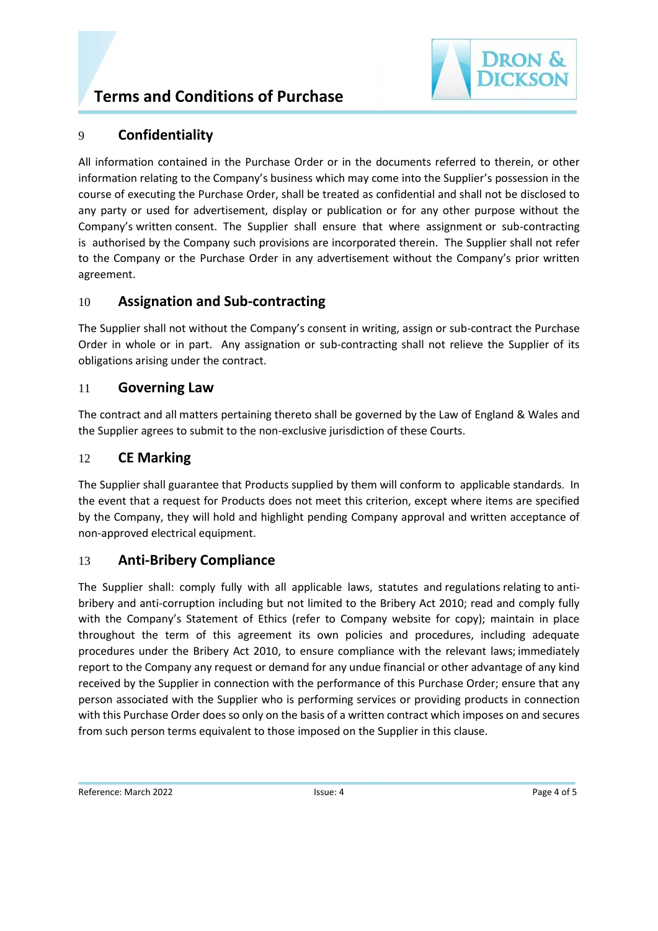# **Terms and Conditions of Purchase**



### 9 **Confidentiality**

All information contained in the Purchase Order or in the documents referred to therein, or other information relating to the Company's business which may come into the Supplier's possession in the course of executing the Purchase Order, shall be treated as confidential and shall not be disclosed to any party or used for advertisement, display or publication or for any other purpose without the Company's written consent. The Supplier shall ensure that where assignment or sub-contracting is authorised by the Company such provisions are incorporated therein. The Supplier shall not refer to the Company or the Purchase Order in any advertisement without the Company's prior written agreement.

### 10 **Assignation and Sub-contracting**

The Supplier shall not without the Company's consent in writing, assign or sub-contract the Purchase Order in whole or in part. Any assignation or sub-contracting shall not relieve the Supplier of its obligations arising under the contract.

### 11 **Governing Law**

The contract and all matters pertaining thereto shall be governed by the Law of England & Wales and the Supplier agrees to submit to the non-exclusive jurisdiction of these Courts.

### 12 **CE Marking**

The Supplier shall guarantee that Products supplied by them will conform to applicable standards. In the event that a request for Products does not meet this criterion, except where items are specified by the Company, they will hold and highlight pending Company approval and written acceptance of non-approved electrical equipment.

# 13 **Anti-Bribery Compliance**

The Supplier shall: comply fully with all applicable laws, statutes and regulations relating to antibribery and anti-corruption including but not limited to the Bribery Act 2010; read and comply fully with the Company's Statement of Ethics (refer to Company website for copy); maintain in place throughout the term of this agreement its own policies and procedures, including adequate procedures under the Bribery Act 2010, to ensure compliance with the relevant laws; immediately report to the Company any request or demand for any undue financial or other advantage of any kind received by the Supplier in connection with the performance of this Purchase Order; ensure that any person associated with the Supplier who is performing services or providing products in connection with this Purchase Order does so only on the basis of a written contract which imposes on and secures from such person terms equivalent to those imposed on the Supplier in this clause.